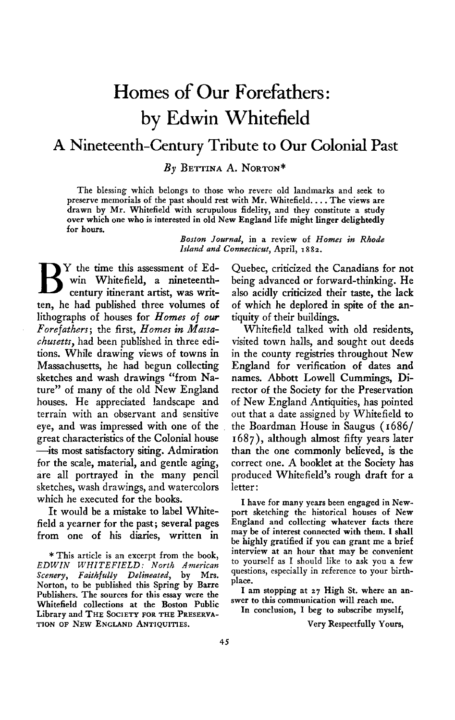## **Homes of Our Forefathers: by Edwin Whitefield**

## **A Nineteenth-Century Tribute to Our Colonial Past**

**By BETTINA A. NORTON\*** 

**The blessing which belongs to those who revere old landmarks and seek to preserve memorials of the past should rest with Mr. Whitefield. . . . The views are drawn by Mr. Whitefield with scrupulous fidelity, and they constitute a study over which one who is interested in old New England life might linger delightedly for hours.** 

> **Boston Journal, in a review of Homes in Rhode**  Island and Connecticut, April, 1882.

**B** Y the time this assessment of Ed-<br>win Whitefield, a nineteenth-<br>century itinerant artist, was writ**win Whitefield, a nineteenthcentury itinerant artist, was written, he had published three volumes of lithographs of houses for Homes of our Forefathers; the first, Homes in Massachusetts, had been published in three editions. While drawing views of towns in Massachusetts, he had begun collecting sketches and wash drawings "from Nature" of many of the old New England houses. He appreciated landscape and terrain with an observant and sensitive eye, and was impressed with one of the great characteristics of the Colonial house -its most satisfactory siting. Admiration for the scale, material, and gentle aging, are all portrayed in the many pencil sketches, wash drawings, and watercolors which he executed for the books.** 

**It would be a mistake to label Whitefield a yearner for the past; several pages from one of his diaries, written in** 

**\*This article is an excerpt from the book, EDWIN WHITEFIELD: North American Scenery, Faithfully Delineated, by Mrs. Norton, to be published this Spring by Barre Publishers. The sources for this essay were the Whitefield collections at the Boston Public Library and THE SOCIETY FOR THE PRESERVA-TION OF NEW ENGLAND ANTIQUITIES.** 

**Quebec, criticized the Canadians for not being advanced or forward-thinking. He also acidly criticized their taste, the lack of which he deplored in spite of the antiquity of their buildings.** 

**Whitefield talked with old residents, visited town halls, and sought out deeds in the county registries throughout New England for verification of dates and names. Abbott Lowell Cummings, Director of the Society for the Preservation of New England Antiquities, has pointed out that a date assigned by Whitefield to the Boardman House in Saugus ( 1686/ I 687), although almost fifty years later than the one commonly believed, is the correct one. A booklet at the Society has produced Whitefield's rough draft for a letter:** 

**I have for many years been engaged in Newport sketching the historical houses of New England and collecting whatever facts there may be of interest connected with them. I shall be highly gratified if you can grant me a brief interview at an hour that may be convenient to yourself as I should like to ask you a few questions, especially in reference to your birthplace.** 

**I am stopping at 27 High St. where an answer to this communication will reach me.** 

**In conclusion, I beg to subscribe myself,** 

**Very Respectfully Yours,**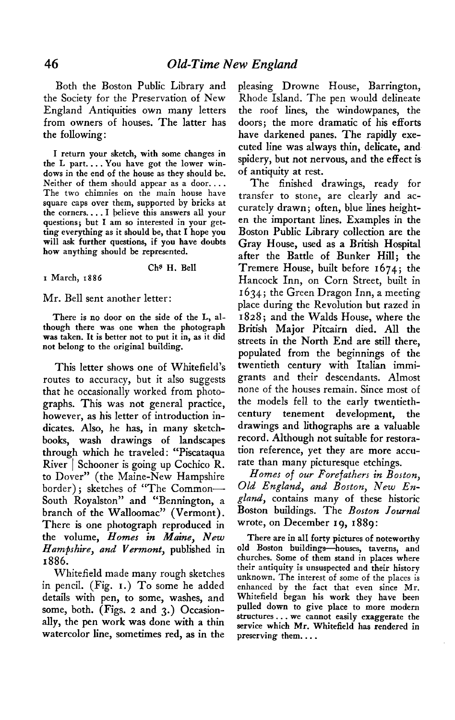**Both the Boston Public Library and the Society for the Preservation of New England Antiquities own many letters from owners of houses. The latter has the following:** 

**I return your sketch, with some changes in the L part. . . . You have got the lower windows in the end of the house as they should be. Neither of them should appear as a door. . . . The two chimnies on the main house have square caps over them, supported by bricks at the corners.. . . I believe this answers all your questions; but I am so interested in your-getting everything as it should be, that I hope you will ask further questions, if you have doubts how anything should be represented.** 

**Chs H. Bell** 

**I March, 1886** 

## **Mr. Bell sent another letter:**

**There is no door on the side of the L, although there was one when the photograph was taken. It is better not to put it in, as it did not belong to the original building.** 

**This letter shows one of Whitefield's routes to accuracy, but it also suggests that he occasionally worked from photographs. This was not general practice, however, as his letter of introduction indicates. Also, he has, in many sketchbooks, wash drawings of landscapes through which he traveled : "Piscataqua River 1 Schooner is going up Cochico R. to Dover" (the Maine-New Hampshire border) ; sketches of "The Common-South Royalston" and "Bennington, a branch of the Walloomac" (Vermont). There is one photograph reproduced in the volume, Homes in Maine, New Hampshire, and Vermont, published in 1886.** 

**Whitefield made many rough sketches in pencil. (Fig. I.) To some he added details with pen, to some, washes, and some, both. (Figs. 2 and 3.) Occasionally, the pen work was done with a thin watercolor line, sometimes red, as in the** 

**pleasing Drowne House, Barrington, Rhode Island. The pen would delineate the roof lines, the windowpanes, the doors; the more dramatic of his efforts have darkened panes. The rapidly executed line was always thin, delicate, and spidery, but not nervous, and the effect is of antiquity at rest.** 

**The finished drawings, ready for transfer to stone, are clearly and accurately drawn; often, blue lines heighten the important lines. Examples in the Boston Public Library collection are the Gray House, used as a British Hospital after the Battle of Bunker Hill; the Tremere House, built before 1674; the Hancock Inn, on Corn Street, built in I 634; the Green Dragon Inn, a meeting place during the Revolution but razed in 1828; and the Walds House, where the British Major Pitcairn died. All the streets in the North End are still there, populated from the beginnings of the twentieth century with Italian immigrants and their descendants. Almost none of the houses remain. Since most of the models fell to the early twentiethcentury tenement development, the drawings and lithographs are a valuable record. Although not suitable for restoration reference, yet they are more accurate than many picturesque etchings.** 

**Homes of our Forefathers in Boston, Old England, and Boston, New England, contains many of these historic Boston buildings. The Boston Journal wrote, on December 19, 1889:** 

**There are in all forty pictures of noteworthy**  old Boston buildings-houses, taverns, and **churches. Some of them stand in places where their antiquity is unsuspected and their history unknown. The interest of some of the places is enhanced by the fact that even since Mr. Whitefield began his work they have been pulled down to give place to more modern structures.. . we cannot easily exaggerate the service which Mr. Whitefield has rendered in preserving them.. . .**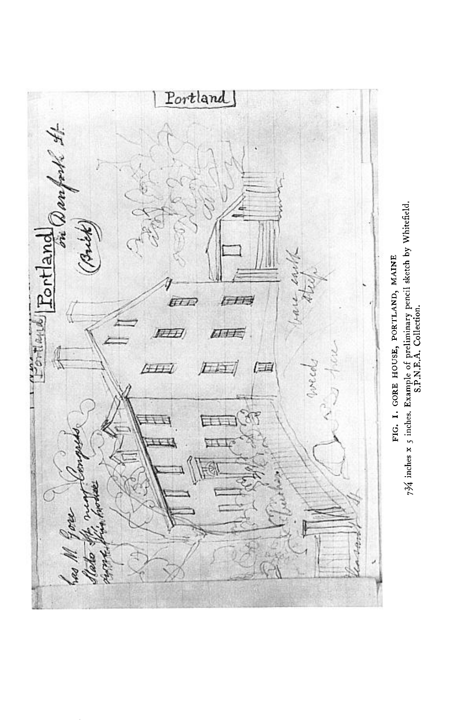

734 inches x 5 inches. Example of preliminary pencil sketch by Whitefield.<br>S.P.N.E.A. Collection.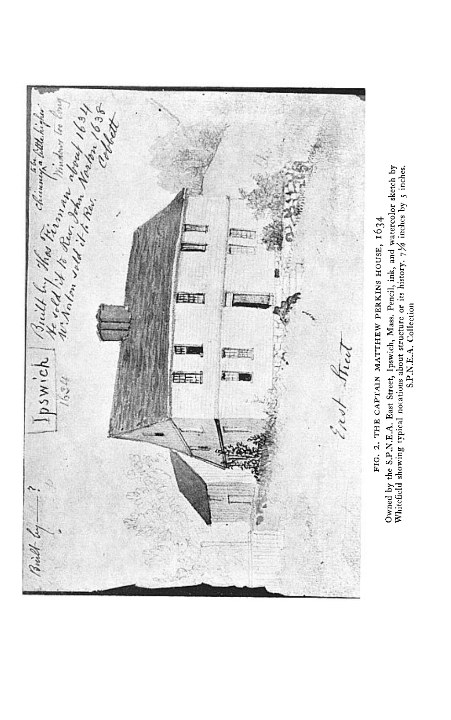

Owned by the S.P.N.E.A. East Street, Ipswich, Mass. Pencil, ink, and watercolor sketch by Whitefield showing typical notations about structure or its history. 7<sup>1</sup>/4 inches by 5 inches.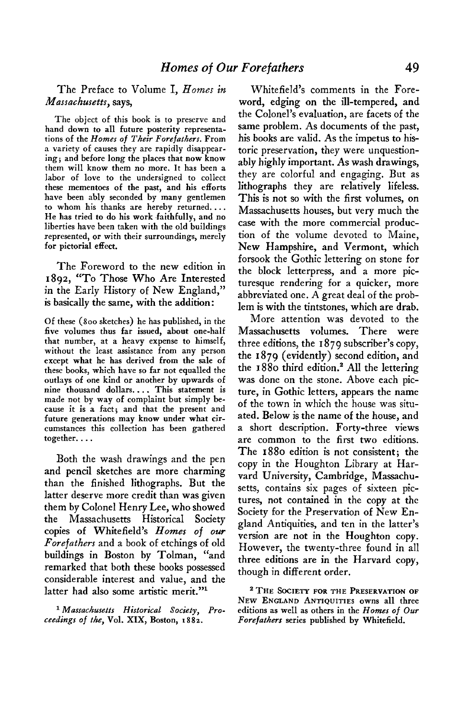The Preface to Volume I. Homes in Massachusetts, says,

The object of this book is to preserve and hand down to all future posterity representations of the Homes of Their Forefathers. From a variety of causes they are rapidly disappearing; and before long the places that now know them will know them no more. It has been a labor of love to the undersigned to collect these mementoes of the past, and his efforts have been ably seconded by many gentlemen to whom his thanks are hereby returned.... He has tried to do his work faithfully, and no liberties have been taken with the old buildings represented, or with their surroundings, merely for pictorial effect.

The Foreword to the new edition in 1802, "To Those Who Are Interested in the Early History of New England," is basically the same, with the addition:

Of these (800 sketches) he has published, in the five volumes thus far issued, about one-half that number, at a heavy expense to himself, without the least assistance from any person except what he has derived from the sale of these books, which have so far not equalled the outlays of one kind or another by upwards of nine thousand dollars.... This statement is made not by way of complaint but simply because it is a fact; and that the present and future generations may know under what circumstances this collection has been gathered together....

Both the wash drawings and the pen and pencil sketches are more charming than the finished lithographs. But the latter deserve more credit than was given them by Colonel Henry Lee, who showed Massachusetts Historical Societv the copies of Whitefield's Homes of our Forefathers and a book of etchings of old buildings in Boston by Tolman, "and remarked that both these books possessed considerable interest and value, and the latter had also some artistic merit."<sup>1</sup>

<sup>1</sup> Massachusetts Historical Society, Proceedings of the, Vol. XIX, Boston, 1882.

Whitefield's comments in the Foreword, edging on the ill-tempered, and the Colonel's evaluation, are facets of the same problem. As documents of the past, his books are valid. As the impetus to historic preservation, they were unquestionably highly important. As wash drawings, they are colorful and engaging. But as lithographs they are relatively lifeless. This is not so with the first volumes, on Massachusetts houses, but very much the case with the more commercial production of the volume devoted to Maine, New Hampshire, and Vermont, which forsook the Gothic lettering on stone for the block letterpress, and a more picturesque rendering for a quicker, more abbreviated one. A great deal of the problem is with the tintstones, which are drab.

More attention was devoted to the There Massachusetts volumes. were three editions, the 1879 subscriber's copy, the 1879 (evidently) second edition, and the 1880 third edition.<sup>2</sup> All the lettering was done on the stone. Above each picture, in Gothic letters, appears the name of the town in which the house was situated. Below is the name of the house, and a short description. Forty-three views are common to the first two editions. The 1880 edition is not consistent: the copy in the Houghton Library at Harvard University, Cambridge, Massachusetts, contains six pages of sixteen pictures, not contained in the copy at the Society for the Preservation of New England Antiquities, and ten in the latter's version are not in the Houghton copy. However, the twenty-three found in all three editions are in the Harvard copy, though in different order.

<sup>2</sup> THE SOCIETY FOR THE PRESERVATION OF NEW ENGLAND ANTIQUITIES owns all three editions as well as others in the Homes of Our Forefathers series published by Whitefield.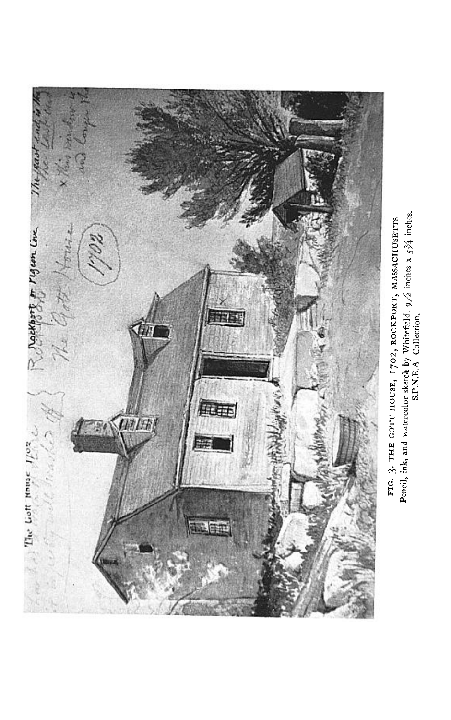

Pencil, ink, and watercolor sketch by Whitefield. 91/2 inches x 53/4 inches.<br>S.P.N.E.A. Collection. FIG. 3. THE GOIT HOUSE, 1702, ROCKPORT, MASSACHUSETTS